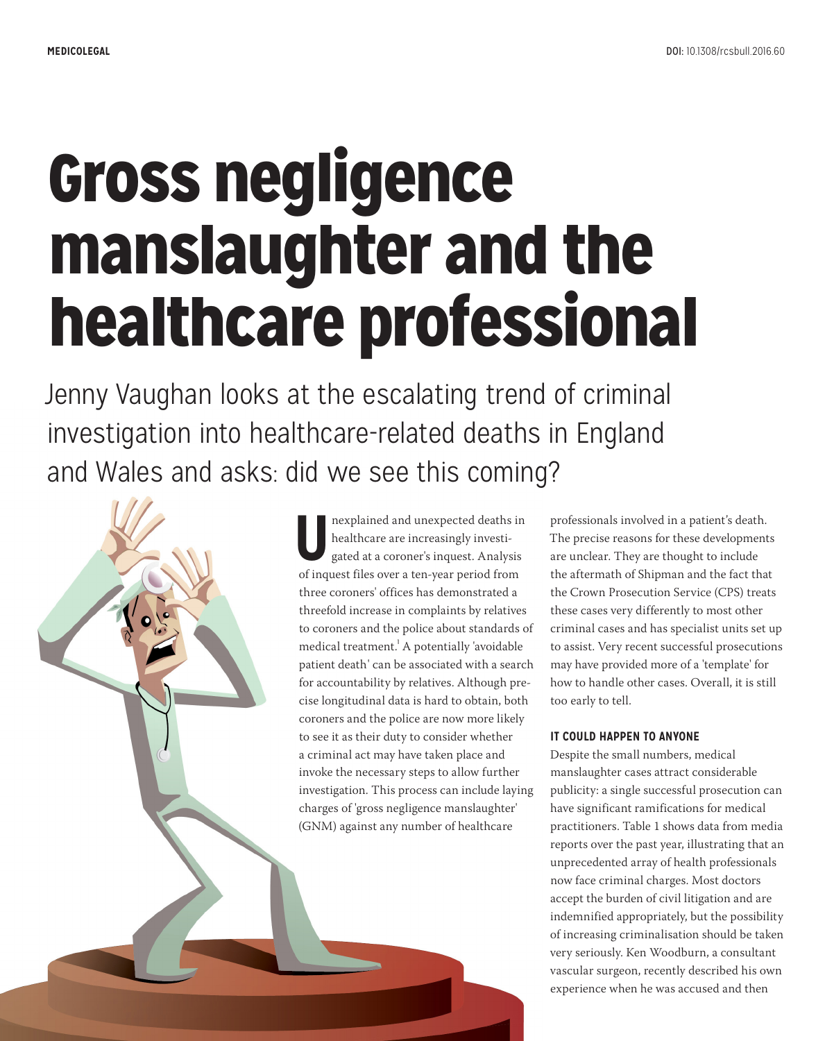# Gross negligence manslaughter and the healthcare professional

Jenny Vaughan looks at the escalating trend of criminal investigation into healthcare-related deaths in England and Wales and asks: did we see this coming?

> **U**nexplained and unexpected deaths in<br>healthcare are increasingly investigated at a coroner's inquest. Analysis<br>of inquest files over a ten year period from healthcare are increasingly investigated at a coroner's inquest. Analysis of inquest files over a ten-year period from three coroners' offices has demonstrated a threefold increase in complaints by relatives to coroners and the police about standards of medical treatment.<sup>1</sup> A potentially 'avoidable patient death' can be associated with a search for accountability by relatives. Although precise longitudinal data is hard to obtain, both coroners and the police are now more likely to see it as their duty to consider whether a criminal act may have taken place and invoke the necessary steps to allow further investigation. This process can include laying charges of 'gross negligence manslaughter' (GNM) against any number of healthcare

professionals involved in a patient's death. The precise reasons for these developments are unclear. They are thought to include the aftermath of Shipman and the fact that the Crown Prosecution Service (CPS) treats these cases very differently to most other criminal cases and has specialist units set up to assist. Very recent successful prosecutions may have provided more of a 'template' for how to handle other cases. Overall, it is still too early to tell.

# **IT COULD HAPPEN TO ANYONE**

Despite the small numbers, medical manslaughter cases attract considerable publicity: a single successful prosecution can have significant ramifications for medical practitioners. Table 1 shows data from media reports over the past year, illustrating that an unprecedented array of health professionals now face criminal charges. Most doctors accept the burden of civil litigation and are indemnified appropriately, but the possibility of increasing criminalisation should be taken very seriously. Ken Woodburn, a consultant vascular surgeon, recently described his own experience when he was accused and then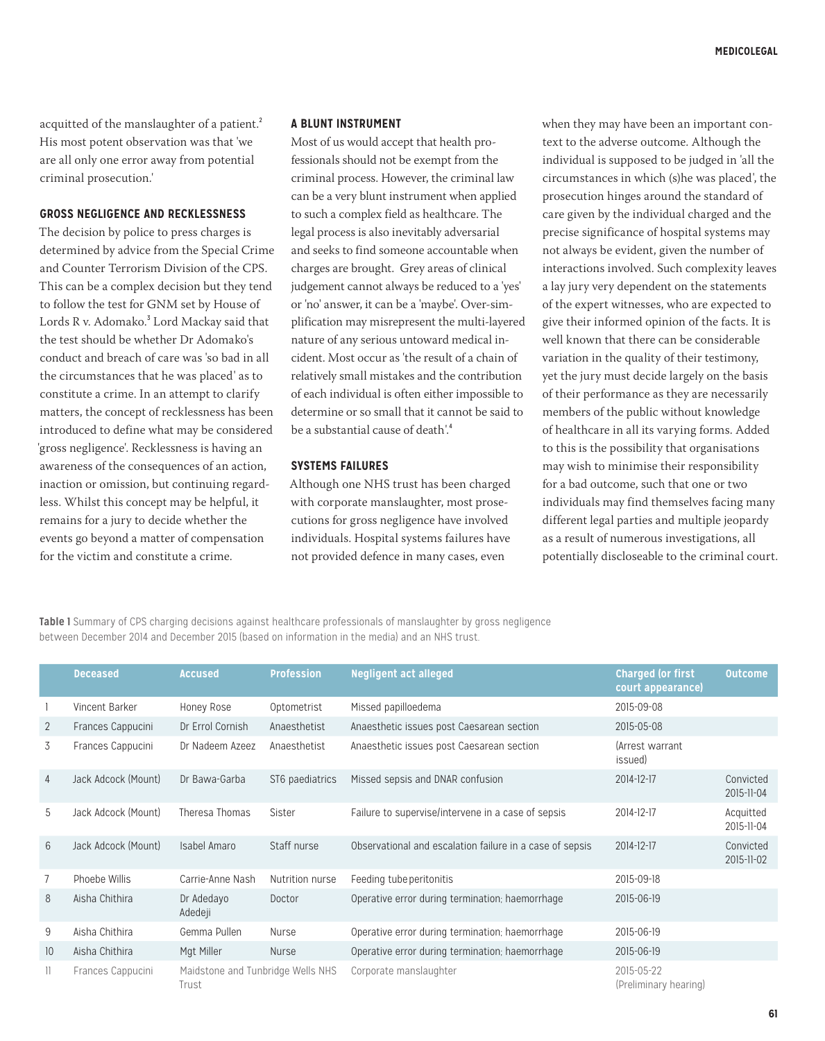acquitted of the manslaughter of a patient.<sup>2</sup> His most potent observation was that 'we are all only one error away from potential criminal prosecution.'

# **GROSS NEGLIGENCE AND RECKLESSNESS**

The decision by police to press charges is determined by advice from the Special Crime and Counter Terrorism Division of the CPS. This can be a complex decision but they tend to follow the test for GNM set by House of Lords R v. Adomako.<sup>3</sup> Lord Mackay said that the test should be whether Dr Adomako's conduct and breach of care was 'so bad in all the circumstances that he was placed' as to constitute a crime. In an attempt to clarify matters, the concept of recklessness has been introduced to define what may be considered 'gross negligence'. Recklessness is having an awareness of the consequences of an action, inaction or omission, but continuing regardless. Whilst this concept may be helpful, it remains for a jury to decide whether the events go beyond a matter of compensation for the victim and constitute a crime.

### **A BLUNT INSTRUMENT**

Most of us would accept that health professionals should not be exempt from the criminal process. However, the criminal law can be a very blunt instrument when applied to such a complex field as healthcare. The legal process is also inevitably adversarial and seeks to find someone accountable when charges are brought. Grey areas of clinical judgement cannot always be reduced to a 'yes' or 'no' answer, it can be a 'maybe'. Over-simplification may misrepresent the multi-layered nature of any serious untoward medical incident. Most occur as 'the result of a chain of relatively small mistakes and the contribution of each individual is often either impossible to determine or so small that it cannot be said to be a substantial cause of death'.<sup>4</sup>

#### **SYSTEMS FAILURES**

Although one NHS trust has been charged with corporate manslaughter, most prosecutions for gross negligence have involved individuals. Hospital systems failures have not provided defence in many cases, even

when they may have been an important context to the adverse outcome. Although the individual is supposed to be judged in 'all the circumstances in which (s)he was placed', the prosecution hinges around the standard of care given by the individual charged and the precise significance of hospital systems may not always be evident, given the number of interactions involved. Such complexity leaves a lay jury very dependent on the statements of the expert witnesses, who are expected to give their informed opinion of the facts. It is well known that there can be considerable variation in the quality of their testimony, yet the jury must decide largely on the basis of their performance as they are necessarily members of the public without knowledge of healthcare in all its varying forms. Added to this is the possibility that organisations may wish to minimise their responsibility for a bad outcome, such that one or two individuals may find themselves facing many different legal parties and multiple jeopardy as a result of numerous investigations, all potentially discloseable to the criminal court.

**Table 1** Summary of CPS charging decisions against healthcare professionals of manslaughter by gross negligence between December 2014 and December 2015 (based on information in the media) and an NHS trust.

|                | <b>Deceased</b>     | <b>Accused</b>                             | <b>Profession</b> | <b>Negligent act alleged</b>                             | <b>Charged (or first</b><br>court appearance) | <b>Outcome</b>          |
|----------------|---------------------|--------------------------------------------|-------------------|----------------------------------------------------------|-----------------------------------------------|-------------------------|
|                | Vincent Barker      | Honey Rose                                 | Optometrist       | Missed papilloedema                                      | 2015-09-08                                    |                         |
| 2              | Frances Cappucini   | Dr Errol Cornish                           | Anaesthetist      | Anaesthetic issues post Caesarean section                | 2015-05-08                                    |                         |
| 3              | Frances Cappucini   | Dr Nadeem Azeez                            | Anaesthetist      | Anaesthetic issues post Caesarean section                | (Arrest warrant<br>issued)                    |                         |
| $\overline{4}$ | Jack Adcock (Mount) | Dr Bawa-Garba                              | ST6 paediatrics   | Missed sepsis and DNAR confusion                         | 2014-12-17                                    | Convicted<br>2015-11-04 |
| 5              | Jack Adcock (Mount) | Theresa Thomas                             | Sister            | Failure to supervise/intervene in a case of sepsis       | 2014-12-17                                    | Acquitted<br>2015-11-04 |
| 6              | Jack Adcock (Mount) | Isabel Amaro                               | Staff nurse       | Observational and escalation failure in a case of sepsis | 2014-12-17                                    | Convicted<br>2015-11-02 |
| 7              | Phoebe Willis       | Carrie-Anne Nash                           | Nutrition nurse   | Feeding tube peritonitis                                 | 2015-09-18                                    |                         |
| 8              | Aisha Chithira      | Dr Adedayo<br>Adedeji                      | Doctor            | Operative error during termination; haemorrhage          | 2015-06-19                                    |                         |
| 9              | Aisha Chithira      | Gemma Pullen                               | Nurse             | Operative error during termination; haemorrhage          | 2015-06-19                                    |                         |
| 10             | Aisha Chithira      | Mqt Miller                                 | <b>Nurse</b>      | Operative error during termination; haemorrhage          | 2015-06-19                                    |                         |
| H.             | Frances Cappucini   | Maidstone and Tunbridge Wells NHS<br>Trust |                   | Corporate manslaughter                                   | 2015-05-22<br>(Preliminary hearing)           |                         |